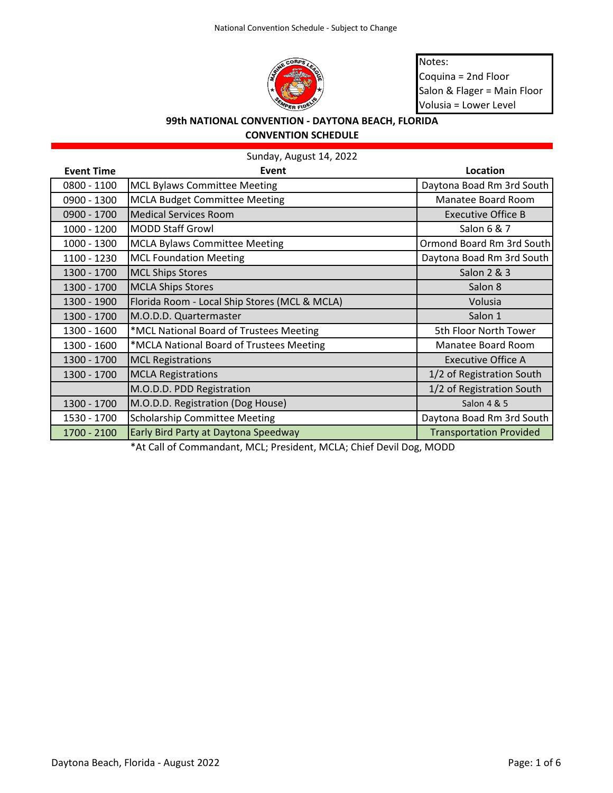

Notes: Coquina = 2nd Floor Salon & Flager = Main Floor Volusia = Lower Level

## **99th NATIONAL CONVENTION - DAYTONA BEACH, FLORIDA CONVENTION SCHEDULE**

## Sunday, August 14, 2022

| <b>Event Time</b> | Event                                         | Location                       |
|-------------------|-----------------------------------------------|--------------------------------|
| $0800 - 1100$     | <b>MCL Bylaws Committee Meeting</b>           | Daytona Boad Rm 3rd South      |
| 0900 - 1300       | <b>MCLA Budget Committee Meeting</b>          | Manatee Board Room             |
| 0900 - 1700       | <b>Medical Services Room</b>                  | <b>Executive Office B</b>      |
| 1000 - 1200       | <b>MODD Staff Growl</b>                       | Salon 6 & 7                    |
| 1000 - 1300       | <b>MCLA Bylaws Committee Meeting</b>          | Ormond Board Rm 3rd South      |
| 1100 - 1230       | <b>MCL Foundation Meeting</b>                 | Daytona Boad Rm 3rd South      |
| 1300 - 1700       | <b>MCL Ships Stores</b>                       | Salon 2 & 3                    |
| 1300 - 1700       | <b>MCLA Ships Stores</b>                      | Salon 8                        |
| 1300 - 1900       | Florida Room - Local Ship Stores (MCL & MCLA) | Volusia                        |
| 1300 - 1700       | M.O.D.D. Quartermaster                        | Salon 1                        |
| 1300 - 1600       | *MCL National Board of Trustees Meeting       | 5th Floor North Tower          |
| 1300 - 1600       | *MCLA National Board of Trustees Meeting      | Manatee Board Room             |
| 1300 - 1700       | <b>MCL Registrations</b>                      | <b>Executive Office A</b>      |
| 1300 - 1700       | <b>MCLA Registrations</b>                     | 1/2 of Registration South      |
|                   | M.O.D.D. PDD Registration                     | 1/2 of Registration South      |
| 1300 - 1700       | M.O.D.D. Registration (Dog House)             | Salon 4 & 5                    |
| 1530 - 1700       | <b>Scholarship Committee Meeting</b>          | Daytona Boad Rm 3rd South      |
| 1700 - 2100       | Early Bird Party at Daytona Speedway          | <b>Transportation Provided</b> |

\*At Call of Commandant, MCL; President, MCLA; Chief Devil Dog, MODD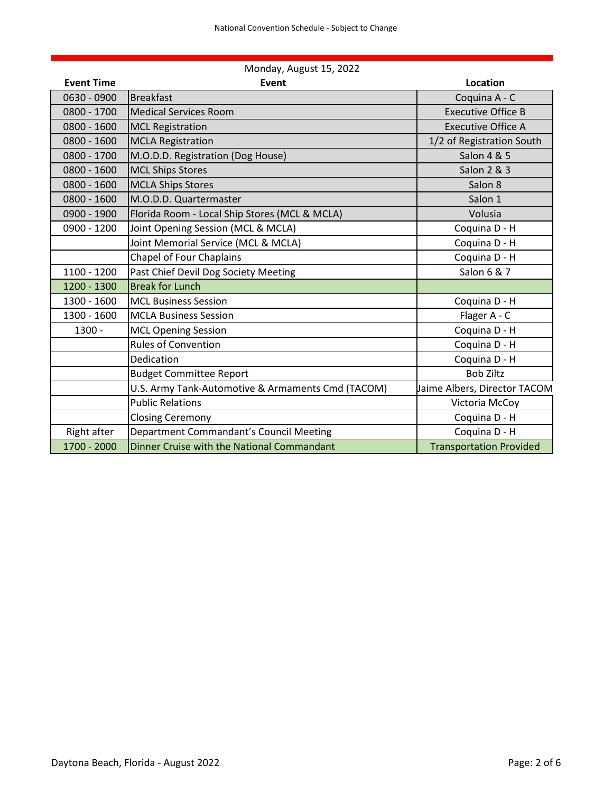| Monday, August 15, 2022 |                                                   |                                |
|-------------------------|---------------------------------------------------|--------------------------------|
| <b>Event Time</b>       | <b>Event</b>                                      | Location                       |
| 0630 - 0900             | <b>Breakfast</b>                                  | Coquina A - C                  |
| 0800 - 1700             | <b>Medical Services Room</b>                      | <b>Executive Office B</b>      |
| $0800 - 1600$           | <b>MCL Registration</b>                           | <b>Executive Office A</b>      |
| $0800 - 1600$           | <b>MCLA Registration</b>                          | 1/2 of Registration South      |
| $0800 - 1700$           | M.O.D.D. Registration (Dog House)                 | Salon 4 & 5                    |
| 0800 - 1600             | <b>MCL Ships Stores</b>                           | Salon 2 & 3                    |
| $0800 - 1600$           | <b>MCLA Ships Stores</b>                          | Salon 8                        |
| $0800 - 1600$           | M.O.D.D. Quartermaster                            | Salon 1                        |
| 0900 - 1900             | Florida Room - Local Ship Stores (MCL & MCLA)     | Volusia                        |
| 0900 - 1200             | Joint Opening Session (MCL & MCLA)                | Coquina D - H                  |
|                         | Joint Memorial Service (MCL & MCLA)               | Coquina D - H                  |
|                         | Chapel of Four Chaplains                          | Coquina D - H                  |
| 1100 - 1200             | Past Chief Devil Dog Society Meeting              | Salon 6 & 7                    |
| 1200 - 1300             | <b>Break for Lunch</b>                            |                                |
| 1300 - 1600             | <b>MCL Business Session</b>                       | Coquina D - H                  |
| 1300 - 1600             | <b>MCLA Business Session</b>                      | Flager A - C                   |
| 1300 -                  | <b>MCL Opening Session</b>                        | Coquina D - H                  |
|                         | <b>Rules of Convention</b>                        | Coquina D - H                  |
|                         | Dedication                                        | Coquina D - H                  |
|                         | <b>Budget Committee Report</b>                    | <b>Bob Ziltz</b>               |
|                         | U.S. Army Tank-Automotive & Armaments Cmd (TACOM) | Jaime Albers, Director TACOM   |
|                         | <b>Public Relations</b>                           | Victoria McCoy                 |
|                         | <b>Closing Ceremony</b>                           | Coquina D - H                  |
| Right after             | Department Commandant's Council Meeting           | Coquina D - H                  |
| 1700 - 2000             | Dinner Cruise with the National Commandant        | <b>Transportation Provided</b> |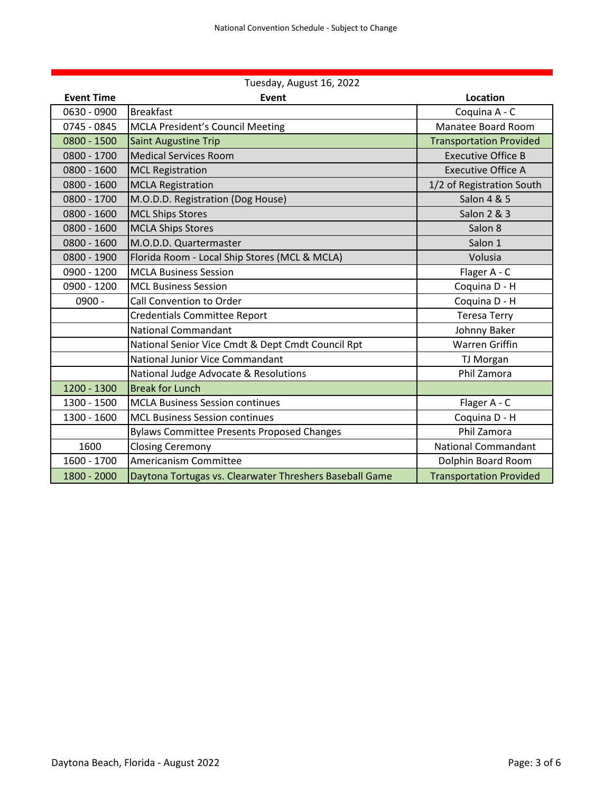|                   | Tuesday, August 16, 2022                                |                                |
|-------------------|---------------------------------------------------------|--------------------------------|
| <b>Event Time</b> | <b>Event</b>                                            | Location                       |
| 0630 - 0900       | <b>Breakfast</b>                                        | Coquina A - C                  |
| 0745 - 0845       | <b>MCLA President's Council Meeting</b>                 | Manatee Board Room             |
| $0800 - 1500$     | <b>Saint Augustine Trip</b>                             | <b>Transportation Provided</b> |
| 0800 - 1700       | <b>Medical Services Room</b>                            | <b>Executive Office B</b>      |
| $0800 - 1600$     | <b>MCL Registration</b>                                 | <b>Executive Office A</b>      |
| $0800 - 1600$     | <b>MCLA Registration</b>                                | 1/2 of Registration South      |
| 0800 - 1700       | M.O.D.D. Registration (Dog House)                       | Salon 4 & 5                    |
| $0800 - 1600$     | <b>MCL Ships Stores</b>                                 | Salon 2 & 3                    |
| $0800 - 1600$     | <b>MCLA Ships Stores</b>                                | Salon 8                        |
| $0800 - 1600$     | M.O.D.D. Quartermaster                                  | Salon 1                        |
| 0800 - 1900       | Florida Room - Local Ship Stores (MCL & MCLA)           | Volusia                        |
| $0900 - 1200$     | <b>MCLA Business Session</b>                            | Flager A - C                   |
| 0900 - 1200       | <b>MCL Business Session</b>                             | Coquina D - H                  |
| $0900 -$          | <b>Call Convention to Order</b>                         | Coquina D - H                  |
|                   | <b>Credentials Committee Report</b>                     | <b>Teresa Terry</b>            |
|                   | <b>National Commandant</b>                              | Johnny Baker                   |
|                   | National Senior Vice Cmdt & Dept Cmdt Council Rpt       | <b>Warren Griffin</b>          |
|                   | National Junior Vice Commandant                         | TJ Morgan                      |
|                   | National Judge Advocate & Resolutions                   | Phil Zamora                    |
| 1200 - 1300       | <b>Break for Lunch</b>                                  |                                |
| 1300 - 1500       | <b>MCLA Business Session continues</b>                  | Flager A - C                   |
| 1300 - 1600       | <b>MCL Business Session continues</b>                   | Coquina D - H                  |
|                   | <b>Bylaws Committee Presents Proposed Changes</b>       | Phil Zamora                    |
| 1600              | <b>Closing Ceremony</b>                                 | <b>National Commandant</b>     |
| 1600 - 1700       | Americanism Committee                                   | Dolphin Board Room             |
| 1800 - 2000       | Daytona Tortugas vs. Clearwater Threshers Baseball Game | <b>Transportation Provided</b> |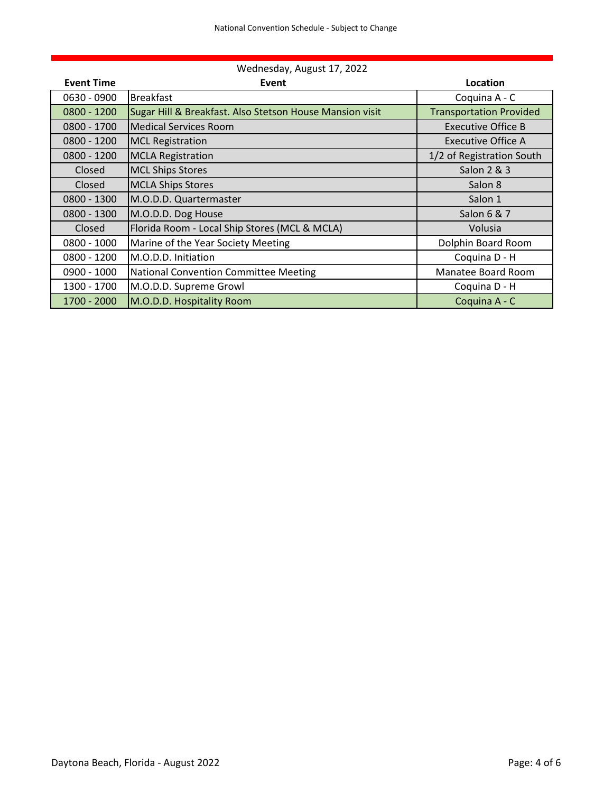| <b>Event Time</b> | Event                                                    | Location                       |
|-------------------|----------------------------------------------------------|--------------------------------|
| 0630 - 0900       | <b>Breakfast</b>                                         | Coquina A - C                  |
| $0800 - 1200$     | Sugar Hill & Breakfast. Also Stetson House Mansion visit | <b>Transportation Provided</b> |
| $0800 - 1700$     | <b>Medical Services Room</b>                             | <b>Executive Office B</b>      |
| $0800 - 1200$     | <b>MCL Registration</b>                                  | <b>Executive Office A</b>      |
| $0800 - 1200$     | <b>MCLA Registration</b>                                 | 1/2 of Registration South      |
| Closed            | <b>MCL Ships Stores</b>                                  | Salon 2 & 3                    |
| <b>Closed</b>     | <b>MCLA Ships Stores</b>                                 | Salon 8                        |
| $0800 - 1300$     | M.O.D.D. Quartermaster                                   | Salon 1                        |
| $0800 - 1300$     | M.O.D.D. Dog House                                       | Salon 6 & 7                    |
| <b>Closed</b>     | Florida Room - Local Ship Stores (MCL & MCLA)            | Volusia                        |
| 0800 - 1000       | Marine of the Year Society Meeting                       | Dolphin Board Room             |
| $0800 - 1200$     | M.O.D.D. Initiation                                      | Coquina D - H                  |
| $0900 - 1000$     | National Convention Committee Meeting                    | Manatee Board Room             |
| 1300 - 1700       | M.O.D.D. Supreme Growl                                   | Coquina D - H                  |
| 1700 - 2000       | M.O.D.D. Hospitality Room                                | Coquina A - C                  |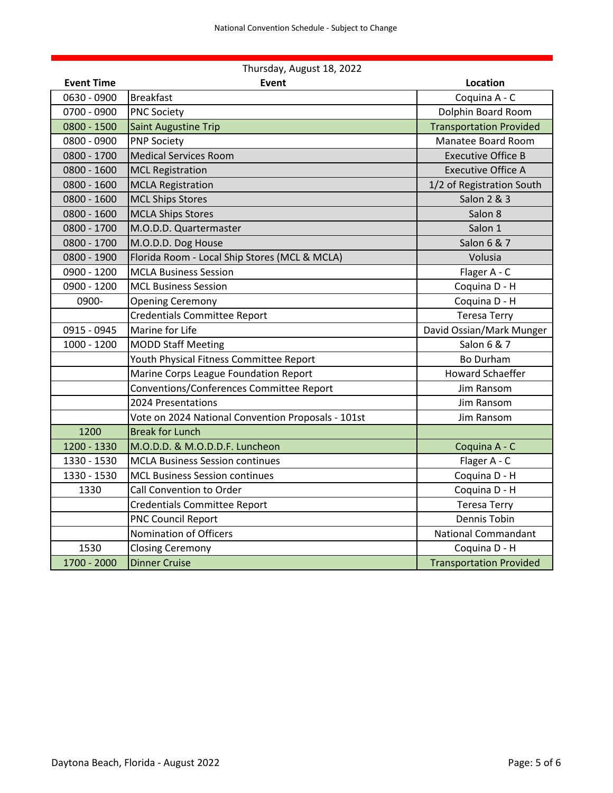|                   | Thursday, August 18, 2022                          |                                |
|-------------------|----------------------------------------------------|--------------------------------|
| <b>Event Time</b> | <b>Event</b>                                       | Location                       |
| 0630 - 0900       | <b>Breakfast</b>                                   | Coquina A - C                  |
| 0700 - 0900       | <b>PNC Society</b>                                 | Dolphin Board Room             |
| 0800 - 1500       | Saint Augustine Trip                               | <b>Transportation Provided</b> |
| 0800 - 0900       | <b>PNP Society</b>                                 | Manatee Board Room             |
| 0800 - 1700       | <b>Medical Services Room</b>                       | <b>Executive Office B</b>      |
| 0800 - 1600       | <b>MCL Registration</b>                            | <b>Executive Office A</b>      |
| 0800 - 1600       | <b>MCLA Registration</b>                           | 1/2 of Registration South      |
| 0800 - 1600       | <b>MCL Ships Stores</b>                            | Salon 2 & 3                    |
| 0800 - 1600       | <b>MCLA Ships Stores</b>                           | Salon 8                        |
| 0800 - 1700       | M.O.D.D. Quartermaster                             | Salon 1                        |
| 0800 - 1700       | M.O.D.D. Dog House                                 | Salon 6 & 7                    |
| 0800 - 1900       | Florida Room - Local Ship Stores (MCL & MCLA)      | Volusia                        |
| 0900 - 1200       | <b>MCLA Business Session</b>                       | Flager A - C                   |
| 0900 - 1200       | <b>MCL Business Session</b>                        | Coquina D - H                  |
| 0900-             | <b>Opening Ceremony</b>                            | Coquina D - H                  |
|                   | <b>Credentials Committee Report</b>                | <b>Teresa Terry</b>            |
| 0915 - 0945       | Marine for Life                                    | David Ossian/Mark Munger       |
| 1000 - 1200       | <b>MODD Staff Meeting</b>                          | Salon 6 & 7                    |
|                   | Youth Physical Fitness Committee Report            | Bo Durham                      |
|                   | Marine Corps League Foundation Report              | <b>Howard Schaeffer</b>        |
|                   | Conventions/Conferences Committee Report           | Jim Ransom                     |
|                   | 2024 Presentations                                 | Jim Ransom                     |
|                   | Vote on 2024 National Convention Proposals - 101st | Jim Ransom                     |
| 1200              | <b>Break for Lunch</b>                             |                                |
| 1200 - 1330       | M.O.D.D. & M.O.D.D.F. Luncheon                     | Coquina A - C                  |
| 1330 - 1530       | <b>MCLA Business Session continues</b>             | Flager A - C                   |
| 1330 - 1530       | <b>MCL Business Session continues</b>              | Coquina D - H                  |
| 1330              | <b>Call Convention to Order</b>                    | Coquina D - H                  |
|                   | <b>Credentials Committee Report</b>                | <b>Teresa Terry</b>            |
|                   | <b>PNC Council Report</b>                          | Dennis Tobin                   |
|                   | Nomination of Officers                             | <b>National Commandant</b>     |
| 1530              | <b>Closing Ceremony</b>                            | Coquina D - H                  |
| 1700 - 2000       | <b>Dinner Cruise</b>                               | <b>Transportation Provided</b> |